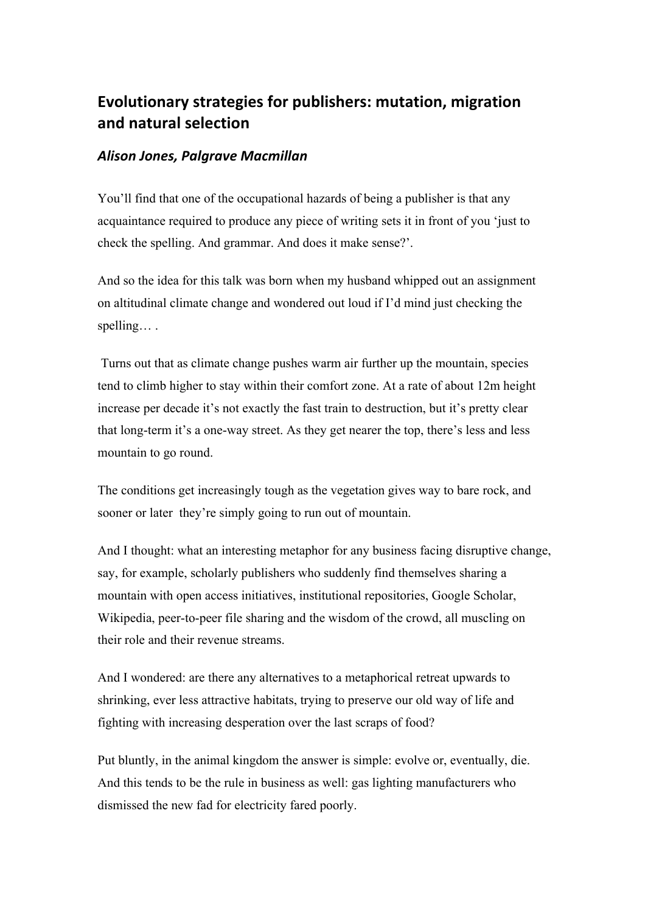# **Evolutionary
strategies
for
publishers:
mutation,
migration and
natural
selection**

## *Alison
Jones,
Palgrave
Macmillan*

You'll find that one of the occupational hazards of being a publisher is that any acquaintance required to produce any piece of writing sets it in front of you 'just to check the spelling. And grammar. And does it make sense?'.

And so the idea for this talk was born when my husband whipped out an assignment on altitudinal climate change and wondered out loud if I'd mind just checking the spelling… .

Turns out that as climate change pushes warm air further up the mountain, species tend to climb higher to stay within their comfort zone. At a rate of about 12m height increase per decade it's not exactly the fast train to destruction, but it's pretty clear that long-term it's a one-way street. As they get nearer the top, there's less and less mountain to go round.

The conditions get increasingly tough as the vegetation gives way to bare rock, and sooner or later they're simply going to run out of mountain.

And I thought: what an interesting metaphor for any business facing disruptive change, say, for example, scholarly publishers who suddenly find themselves sharing a mountain with open access initiatives, institutional repositories, Google Scholar, Wikipedia, peer-to-peer file sharing and the wisdom of the crowd, all muscling on their role and their revenue streams.

And I wondered: are there any alternatives to a metaphorical retreat upwards to shrinking, ever less attractive habitats, trying to preserve our old way of life and fighting with increasing desperation over the last scraps of food?

Put bluntly, in the animal kingdom the answer is simple: evolve or, eventually, die. And this tends to be the rule in business as well: gas lighting manufacturers who dismissed the new fad for electricity fared poorly.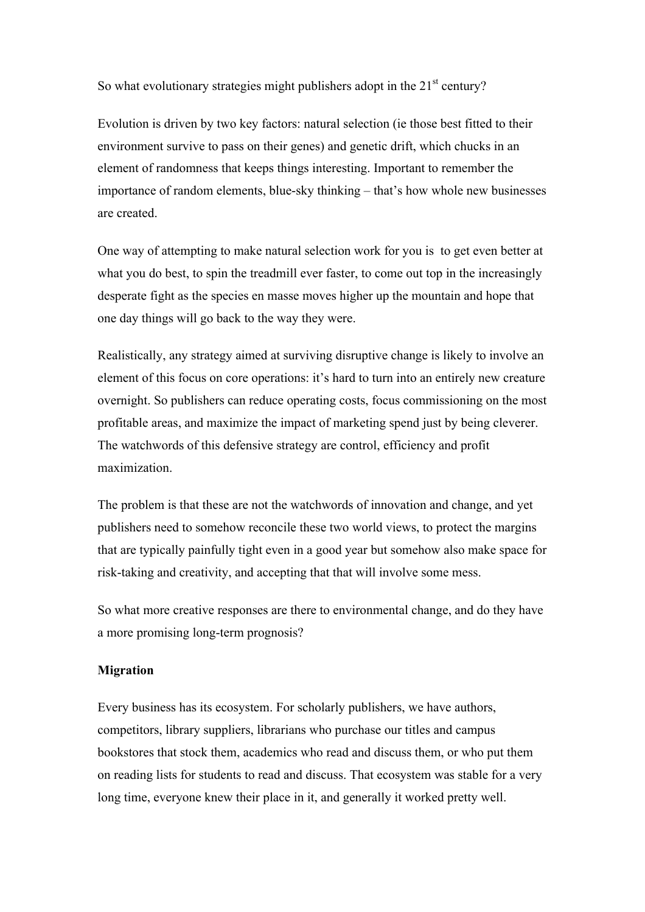So what evolutionary strategies might publishers adopt in the  $21<sup>st</sup>$  century?

Evolution is driven by two key factors: natural selection (ie those best fitted to their environment survive to pass on their genes) and genetic drift, which chucks in an element of randomness that keeps things interesting. Important to remember the importance of random elements, blue-sky thinking – that's how whole new businesses are created.

One way of attempting to make natural selection work for you is to get even better at what you do best, to spin the treadmill ever faster, to come out top in the increasingly desperate fight as the species en masse moves higher up the mountain and hope that one day things will go back to the way they were.

Realistically, any strategy aimed at surviving disruptive change is likely to involve an element of this focus on core operations: it's hard to turn into an entirely new creature overnight. So publishers can reduce operating costs, focus commissioning on the most profitable areas, and maximize the impact of marketing spend just by being cleverer. The watchwords of this defensive strategy are control, efficiency and profit maximization.

The problem is that these are not the watchwords of innovation and change, and yet publishers need to somehow reconcile these two world views, to protect the margins that are typically painfully tight even in a good year but somehow also make space for risk-taking and creativity, and accepting that that will involve some mess.

So what more creative responses are there to environmental change, and do they have a more promising long-term prognosis?

### **Migration**

Every business has its ecosystem. For scholarly publishers, we have authors, competitors, library suppliers, librarians who purchase our titles and campus bookstores that stock them, academics who read and discuss them, or who put them on reading lists for students to read and discuss. That ecosystem was stable for a very long time, everyone knew their place in it, and generally it worked pretty well.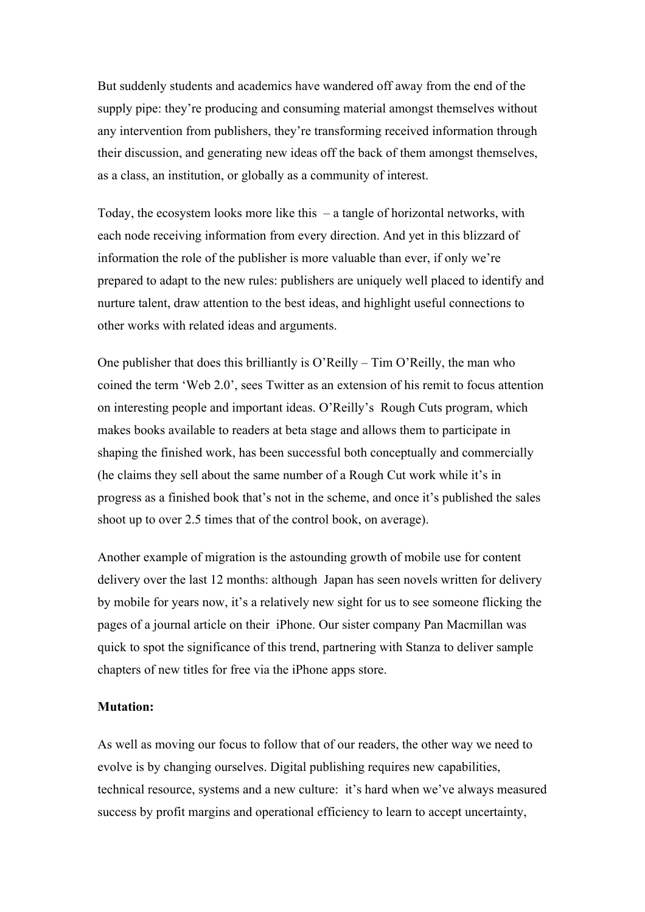But suddenly students and academics have wandered off away from the end of the supply pipe: they're producing and consuming material amongst themselves without any intervention from publishers, they're transforming received information through their discussion, and generating new ideas off the back of them amongst themselves, as a class, an institution, or globally as a community of interest.

Today, the ecosystem looks more like this – a tangle of horizontal networks, with each node receiving information from every direction. And yet in this blizzard of information the role of the publisher is more valuable than ever, if only we're prepared to adapt to the new rules: publishers are uniquely well placed to identify and nurture talent, draw attention to the best ideas, and highlight useful connections to other works with related ideas and arguments.

One publisher that does this brilliantly is O'Reilly – Tim O'Reilly, the man who coined the term 'Web 2.0', sees Twitter as an extension of his remit to focus attention on interesting people and important ideas. O'Reilly's Rough Cuts program, which makes books available to readers at beta stage and allows them to participate in shaping the finished work, has been successful both conceptually and commercially (he claims they sell about the same number of a Rough Cut work while it's in progress as a finished book that's not in the scheme, and once it's published the sales shoot up to over 2.5 times that of the control book, on average).

Another example of migration is the astounding growth of mobile use for content delivery over the last 12 months: although Japan has seen novels written for delivery by mobile for years now, it's a relatively new sight for us to see someone flicking the pages of a journal article on their iPhone. Our sister company Pan Macmillan was quick to spot the significance of this trend, partnering with Stanza to deliver sample chapters of new titles for free via the iPhone apps store.

#### **Mutation:**

As well as moving our focus to follow that of our readers, the other way we need to evolve is by changing ourselves. Digital publishing requires new capabilities, technical resource, systems and a new culture: it's hard when we've always measured success by profit margins and operational efficiency to learn to accept uncertainty,